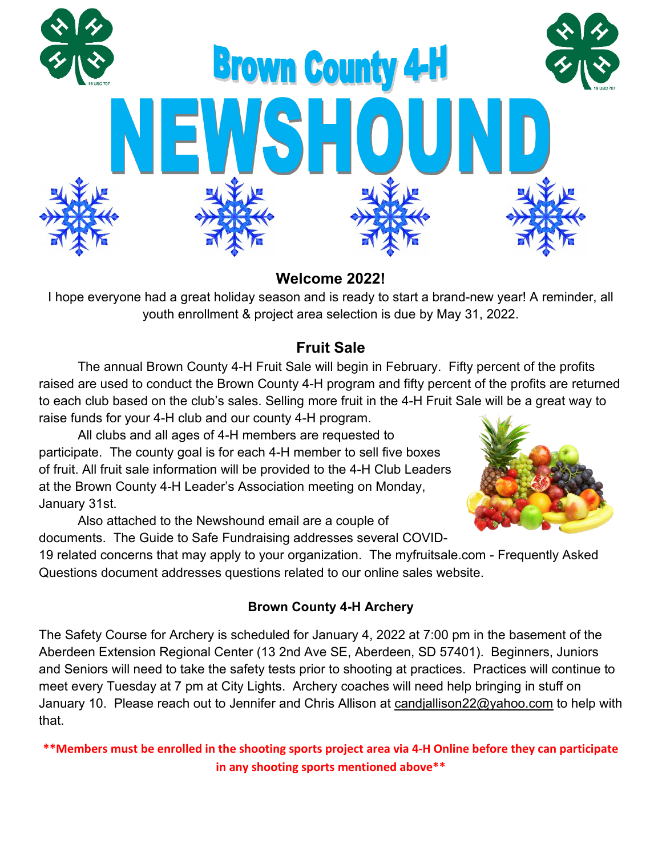

# **Welcome 2022!**

I hope everyone had a great holiday season and is ready to start a brand-new year! A reminder, all youth enrollment & project area selection is due by May 31, 2022.

# **Fruit Sale**

The annual Brown County 4-H Fruit Sale will begin in February. Fifty percent of the profits raised are used to conduct the Brown County 4-H program and fifty percent of the profits are returned to each club based on the club's sales. Selling more fruit in the 4-H Fruit Sale will be a great way to raise funds for your 4-H club and our county 4-H program.

All clubs and all ages of 4-H members are requested to participate. The county goal is for each 4-H member to sell five boxes of fruit. All fruit sale information will be provided to the 4-H Club Leaders at the Brown County 4-H Leader's Association meeting on Monday, January 31st.

Also attached to the Newshound email are a couple of documents. The Guide to Safe Fundraising addresses several COVID-

19 related concerns that may apply to your organization. The myfruitsale.com - Frequently Asked Questions document addresses questions related to our online sales website.

## **Brown County 4-H Archery**

The Safety Course for Archery is scheduled for January 4, 2022 at 7:00 pm in the basement of the Aberdeen Extension Regional Center (13 2nd Ave SE, Aberdeen, SD 57401). Beginners, Juniors and Seniors will need to take the safety tests prior to shooting at practices. Practices will continue to meet every Tuesday at 7 pm at City Lights. Archery coaches will need help bringing in stuff on January 10. Please reach out to Jennifer and Chris Allison at [candjallison22@yahoo.com](mailto:candjallison22@yahoo.com) to help with that.

**\*\*Members must be enrolled in the shooting sports project area via 4-H Online before they can participate in any shooting sports mentioned above\*\***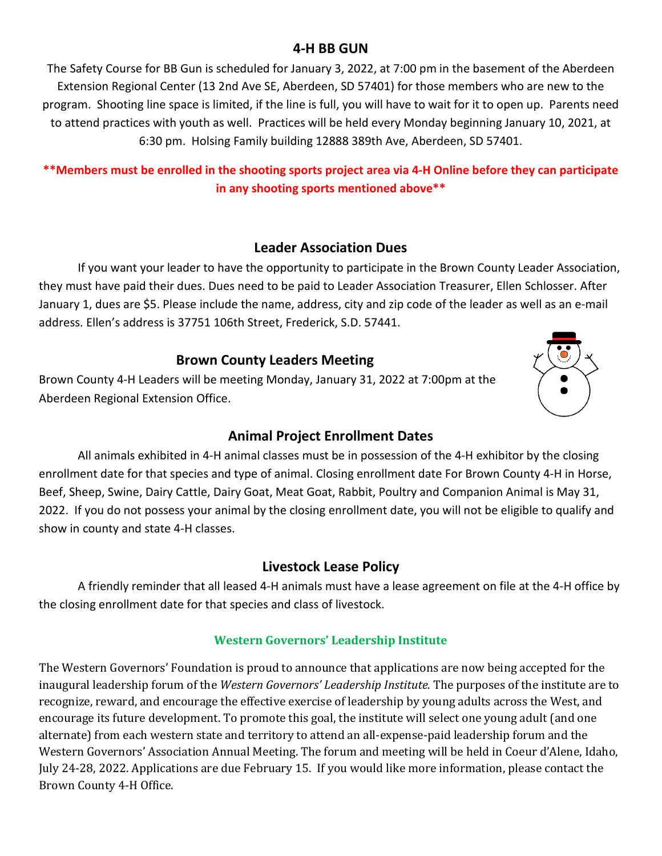#### **4-H BB GUN**

The Safety Course for BB Gun is scheduled for January 3, 2022, at 7:00 pm in the basement of the Aberdeen Extension Regional Center (13 2nd Ave SE, Aberdeen, SD 57401) for those members who are new to the program. Shooting line space is limited, if the line is full, you will have to wait for it to open up. Parents need to attend practices with youth as well. Practices will be held every Monday beginning January 10, 2021, at 6:30 pm. Holsing Family building 12888 389th Ave, Aberdeen, SD 57401.

#### **\*\*Members must be enrolled in the shooting sports project area via 4-H Online before they can participate in any shooting sports mentioned above\*\***

#### **Leader Association Dues**

If you want your leader to have the opportunity to participate in the Brown County Leader Association, they must have paid their dues. Dues need to be paid to Leader Association Treasurer, Ellen Schlosser. After January 1, dues are \$5. Please include the name, address, city and zip code of the leader as well as an e-mail address. Ellen's address is 37751 106th Street, Frederick, S.D. 57441.

#### **Brown County Leaders Meeting**

Brown County 4-H Leaders will be meeting Monday, January 31, 2022 at 7:00pm at the Aberdeen Regional Extension Office.



## **Animal Project Enrollment Dates**

All animals exhibited in 4-H animal classes must be in possession of the 4-H exhibitor by the closing enrollment date for that species and type of animal. Closing enrollment date For Brown County 4-H in Horse, Beef, Sheep, Swine, Dairy Cattle, Dairy Goat, Meat Goat, Rabbit, Poultry and Companion Animal is May 31, 2022. If you do not possess your animal by the closing enrollment date, you will not be eligible to qualify and show in county and state 4-H classes.

## **Livestock Lease Policy**

A friendly reminder that all leased 4-H animals must have a lease agreement on file at the 4-H office by the closing enrollment date for that species and class of livestock.

#### **Western Governors' Leadership Institute**

The Western Governors' Foundation is proud to announce that applications are now being accepted for the inaugural leadership forum of the *Western Governors' Leadership Institute*. The purposes of the institute are to recognize, reward, and encourage the effective exercise of leadership by young adults across the West, and encourage its future development. To promote this goal, the institute will select one young adult (and one alternate) from each western state and territory to attend an all-expense-paid leadership forum and the Western Governors' Association Annual Meeting. The forum and meeting will be held in Coeur d'Alene, Idaho, July 24-28, 2022. Applications are due February 15. If you would like more information, please contact the Brown County 4-H Office.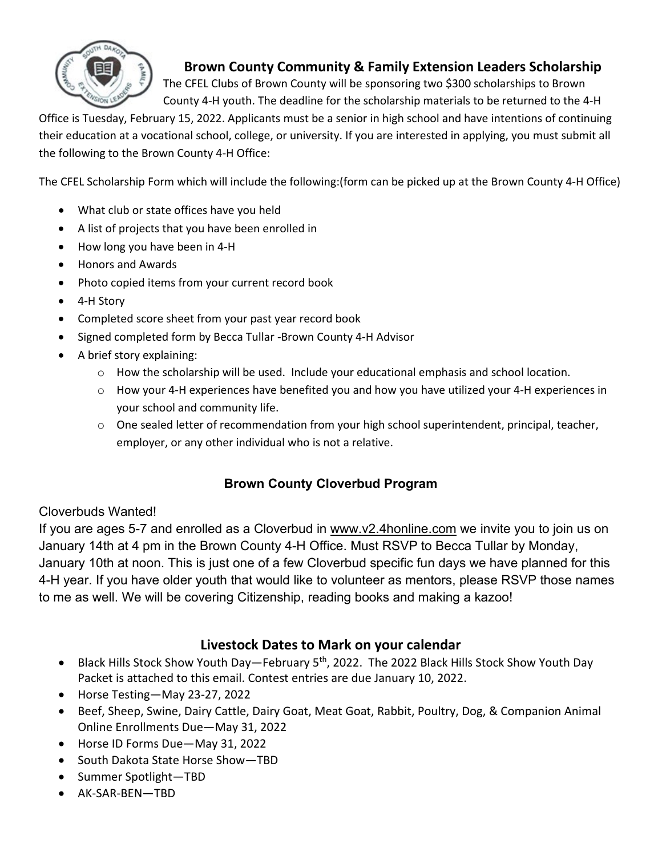

## **Brown County Community & Family Extension Leaders Scholarship**

The CFEL Clubs of Brown County will be sponsoring two \$300 scholarships to Brown County 4-H youth. The deadline for the scholarship materials to be returned to the 4-H

Office is Tuesday, February 15, 2022. Applicants must be a senior in high school and have intentions of continuing their education at a vocational school, college, or university. If you are interested in applying, you must submit all the following to the Brown County 4-H Office:

The CFEL Scholarship Form which will include the following:(form can be picked up at the Brown County 4-H Office)

- What club or state offices have you held
- A list of projects that you have been enrolled in
- How long you have been in 4-H
- Honors and Awards
- Photo copied items from your current record book
- 4-H Story
- Completed score sheet from your past year record book
- Signed completed form by Becca Tullar -Brown County 4-H Advisor
- A brief story explaining:
	- o How the scholarship will be used. Include your educational emphasis and school location.
	- $\circ$  How your 4-H experiences have benefited you and how you have utilized your 4-H experiences in your school and community life.
	- $\circ$  One sealed letter of recommendation from your high school superintendent, principal, teacher, employer, or any other individual who is not a relative.

## **Brown County Cloverbud Program**

## Cloverbuds Wanted!

If you are ages 5-7 and enrolled as a Cloverbud in [www.v2.4honline.com](http://www.v2.4honline.com/) we invite you to join us on January 14th at 4 pm in the Brown County 4-H Office. Must RSVP to Becca Tullar by Monday, January 10th at noon. This is just one of a few Cloverbud specific fun days we have planned for this 4-H year. If you have older youth that would like to volunteer as mentors, please RSVP those names to me as well. We will be covering Citizenship, reading books and making a kazoo!

## **Livestock Dates to Mark on your calendar**

- Black Hills Stock Show Youth Day-February 5<sup>th</sup>, 2022. The 2022 Black Hills Stock Show Youth Day Packet is attached to this email. Contest entries are due January 10, 2022.
- Horse Testing—May 23-27, 2022
- Beef, Sheep, Swine, Dairy Cattle, Dairy Goat, Meat Goat, Rabbit, Poultry, Dog, & Companion Animal Online Enrollments Due—May 31, 2022
- Horse ID Forms Due—May 31, 2022
- South Dakota State Horse Show—TBD
- Summer Spotlight—TBD
- AK-SAR-BEN—TBD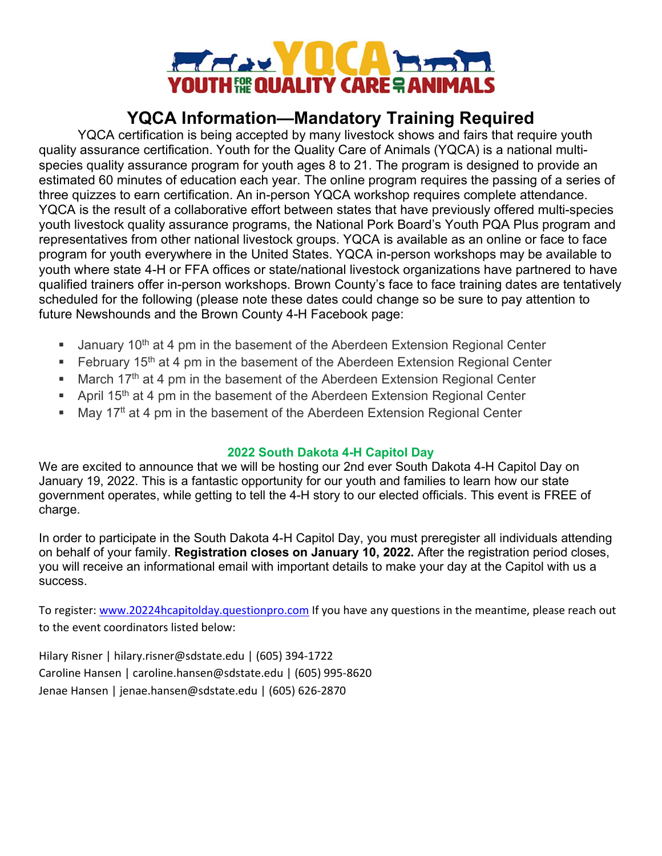

# **YQCA Information—Mandatory Training Required**

YQCA certification is being accepted by many livestock shows and fairs that require youth quality assurance certification. Youth for the Quality Care of Animals (YQCA) is a national multispecies quality assurance program for youth ages 8 to 21. The program is designed to provide an estimated 60 minutes of education each year. The online program requires the passing of a series of three quizzes to earn certification. An in-person YQCA workshop requires complete attendance. YQCA is the result of a collaborative effort between states that have previously offered multi-species youth livestock quality assurance programs, the National Pork Board's Youth PQA Plus program and representatives from other national livestock groups. YQCA is available as an online or face to face program for youth everywhere in the United States. YQCA in-person workshops may be available to youth where state 4-H or FFA offices or state/national livestock organizations have partnered to have qualified trainers offer in-person workshops. Brown County's face to face training dates are tentatively scheduled for the following (please note these dates could change so be sure to pay attention to future Newshounds and the Brown County 4-H Facebook page:

- January 10<sup>th</sup> at 4 pm in the basement of the Aberdeen Extension Regional Center
- February 15<sup>th</sup> at 4 pm in the basement of the Aberdeen Extension Regional Center
- **March 17th at 4 pm in the basement of the Aberdeen Extension Regional Center**
- April 15<sup>th</sup> at 4 pm in the basement of the Aberdeen Extension Regional Center
- May 17<sup>tt</sup> at 4 pm in the basement of the Aberdeen Extension Regional Center

#### **2022 South Dakota 4-H Capitol Day**

We are excited to announce that we will be hosting our 2nd ever South Dakota 4-H Capitol Day on January 19, 2022. This is a fantastic opportunity for our youth and families to learn how our state government operates, while getting to tell the 4-H story to our elected officials. This event is FREE of charge.

In order to participate in the South Dakota 4-H Capitol Day, you must preregister all individuals attending on behalf of your family. **Registration closes on January 10, 2022.** After the registration period closes, you will receive an informational email with important details to make your day at the Capitol with us a success.

To register: [www.20224hcapitolday.questionpro.com](http://www.20224hcapitolday.questionpro.com/) If you have any questions in the meantime, please reach out to the event coordinators listed below:

Hilary Risner | hilary.risner@sdstate.edu | (605) 394-1722 Caroline Hansen | caroline.hansen@sdstate.edu | (605) 995-8620 Jenae Hansen | jenae.hansen@sdstate.edu | (605) 626-2870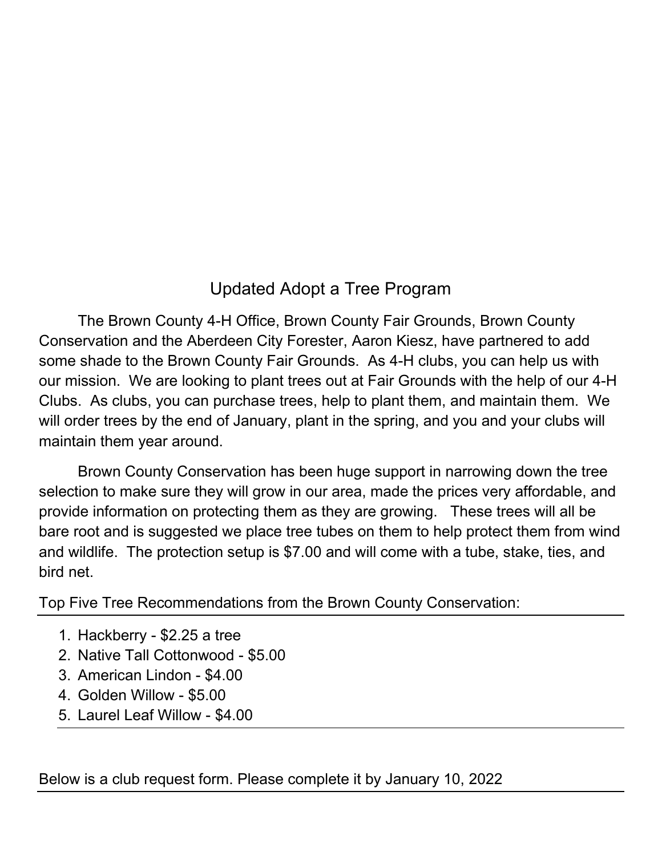# Updated Adopt a Tree Program

The Brown County 4-H Office, Brown County Fair Grounds, Brown County Conservation and the Aberdeen City Forester, Aaron Kiesz, have partnered to add some shade to the Brown County Fair Grounds. As 4-H clubs, you can help us with our mission. We are looking to plant trees out at Fair Grounds with the help of our 4-H Clubs. As clubs, you can purchase trees, help to plant them, and maintain them. We will order trees by the end of January, plant in the spring, and you and your clubs will maintain them year around.

Brown County Conservation has been huge support in narrowing down the tree selection to make sure they will grow in our area, made the prices very affordable, and provide information on protecting them as they are growing. These trees will all be bare root and is suggested we place tree tubes on them to help protect them from wind and wildlife. The protection setup is \$7.00 and will come with a tube, stake, ties, and bird net.

Top Five Tree Recommendations from the Brown County Conservation:

- 1. Hackberry \$2.25 a tree
- 2. Native Tall Cottonwood \$5.00
- 3. American Lindon \$4.00
- 4. Golden Willow \$5.00
- 5. Laurel Leaf Willow \$4.00

Below is a club request form. Please complete it by January 10, 2022